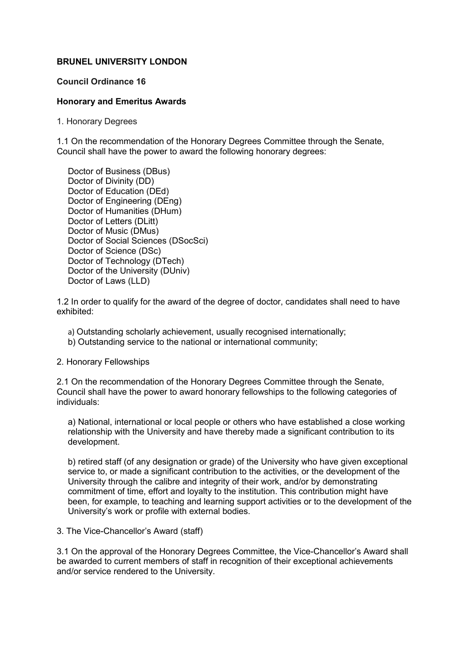## **BRUNEL UNIVERSITY LONDON**

## **Council Ordinance 16**

## **Honorary and Emeritus Awards**

1. Honorary Degrees

1.1 On the recommendation of the Honorary Degrees Committee through the Senate, Council shall have the power to award the following honorary degrees:

Doctor of Business (DBus) Doctor of Divinity (DD) Doctor of Education (DEd) Doctor of Engineering (DEng) Doctor of Humanities (DHum) Doctor of Letters (DLitt) Doctor of Music (DMus) Doctor of Social Sciences (DSocSci) Doctor of Science (DSc) Doctor of Technology (DTech) Doctor of the University (DUniv) Doctor of Laws (LLD)

1.2 In order to qualify for the award of the degree of doctor, candidates shall need to have exhibited:

- a) Outstanding scholarly achievement, usually recognised internationally;
- b) Outstanding service to the national or international community;

2. Honorary Fellowships

2.1 On the recommendation of the Honorary Degrees Committee through the Senate, Council shall have the power to award honorary fellowships to the following categories of individuals:

a) National, international or local people or others who have established a close working relationship with the University and have thereby made a significant contribution to its development.

b) retired staff (of any designation or grade) of the University who have given exceptional service to, or made a significant contribution to the activities, or the development of the University through the calibre and integrity of their work, and/or by demonstrating commitment of time, effort and loyalty to the institution. This contribution might have been, for example, to teaching and learning support activities or to the development of the University's work or profile with external bodies.

3. The Vice-Chancellor's Award (staff)

3.1 On the approval of the Honorary Degrees Committee, the Vice-Chancellor's Award shall be awarded to current members of staff in recognition of their exceptional achievements and/or service rendered to the University.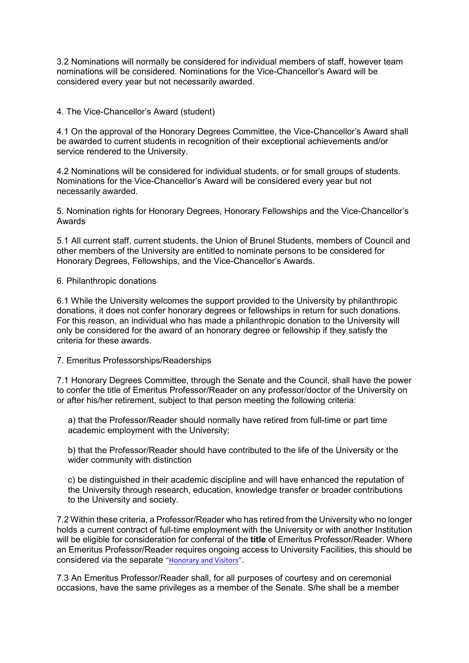3.2 Nominations will normally be considered for individual members of staff, however team nominations will be considered. Nominations for the Vice-Chancellor's Award will be considered every year but not necessarily awarded.

4. The Vice-Chancellor's Award (student)

4.1 On the approval of the Honorary Degrees Committee, the Vice-Chancellor's Award shall be awarded to current students in recognition of their exceptional achievements and/or service rendered to the University.

4.2 Nominations will be considered for individual students, or for small groups of students. Nominations for the Vice-Chancellor's Award will be considered every year but not necessarily awarded.

5. Nomination rights for Honorary Degrees, Honorary Fellowships and the Vice-Chancellor's Awards

5.1 All current staff, current students, the Union of Brunel Students, members of Council and other members of the University are entitled to nominate persons to be considered for Honorary Degrees, Fellowships, and the Vice-Chancellor's Awards.

6. Philanthropic donations

6.1 While the University welcomes the support provided to the University by philanthropic donations, it does not confer honorary degrees or fellowships in return for such donations. For this reason, an individual who has made a philanthropic donation to the University will only be considered for the award of an honorary degree or fellowship if they satisfy the criteria for these awards.

7. Emeritus Professorships/Readerships

7.1 Honorary Degrees Committee, through the Senate and the Council, shall have the power to confer the title of Emeritus Professor/Reader on any professor/doctor of the University on or after his/her retirement, subject to that person meeting the following criteria:

a) that the Professor/Reader should normally have retired from full-time or part time academic employment with the University;

b) that the Professor/Reader should have contributed to the life of the University or the wider community with distinction

c) be distinguished in their academic discipline and will have enhanced the reputation of the University through research, education, knowledge transfer or broader contributions to the University and society.

7.2 Within these criteria, a Professor/Reader who has retired from the University who no longer holds a current contract of full-time employment with the University or with another Institution will be eligible for consideration for conferral of the **title** of Emeritus Professor/Reader. Where an Emeritus Professor/Reader requires ongoing access to University Facilities, this should be considered via the separate ["Honorary and Visitors"](https://intra.brunel.ac.uk/s/hr/Pages/Honorary--Visitors.aspx).

7.3 An Emeritus Professor/Reader shall, for all purposes of courtesy and on ceremonial occasions, have the same privileges as a member of the Senate. S/he shall be a member